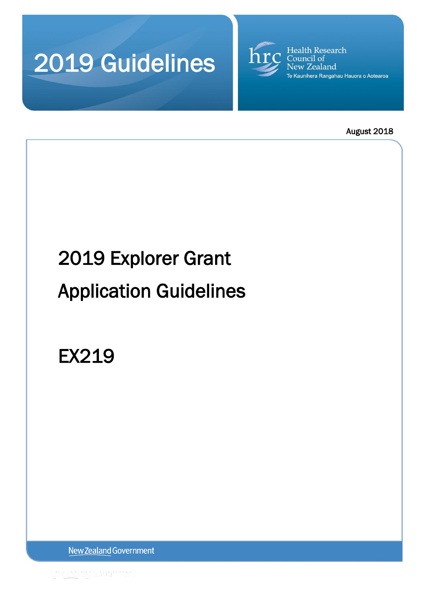



August 2018

# 2019 Explorer Grant

# Application Guidelines

EX219

New Zealand Government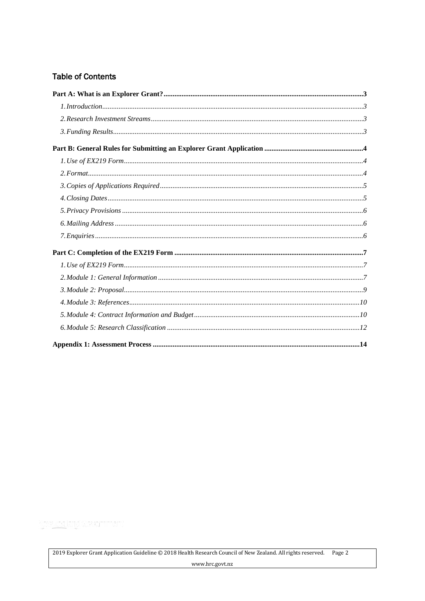# **Table of Contents**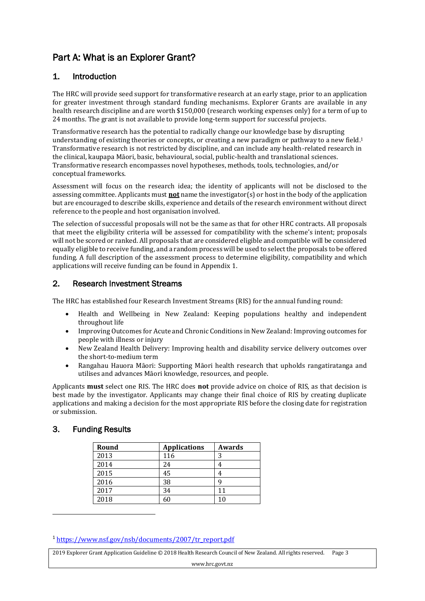# <span id="page-2-0"></span>Part A: What is an Explorer Grant?

# <span id="page-2-1"></span>1. Introduction

The HRC will provide seed support for transformative research at an early stage, prior to an application for greater investment through standard funding mechanisms. Explorer Grants are available in any health research discipline and are worth \$150,000 (research working expenses only) for a term of up to 24 months. The grant is not available to provide long-term support for successful projects.

Transformative research has the potential to radically change our knowledge base by disrupting understanding of existing theories or concepts, or creating a new paradigm or pathway to a new field. 1 Transformative research is not restricted by discipline, and can include any health-related research in the clinical, kaupapa Māori, basic, behavioural, social, public-health and translational sciences. Transformative research encompasses novel hypotheses, methods, tools, technologies, and/or conceptual frameworks.

Assessment will focus on the research idea; the identity of applicants will not be disclosed to the assessing committee. Applicants must **not** name the investigator(s) or host in the body of the application but are encouraged to describe skills, experience and details of the research environment without direct reference to the people and host organisation involved.

The selection of successful proposals will not be the same as that for other HRC contracts. All proposals that meet the eligibility criteria will be assessed for compatibility with the scheme's intent; proposals will not be scored or ranked. All proposals that are considered eligible and compatible will be considered equally eligible to receive funding, and a random process will be used to select the proposals to be offered funding. A full description of the assessment process to determine eligibility, compatibility and which applications will receive funding can be found in Appendix 1.

# <span id="page-2-2"></span>2. Research Investment Streams

The HRC has established four Research Investment Streams (RIS) for the annual funding round:

- Health and Wellbeing in New Zealand: Keeping populations healthy and independent throughout life
- Improving Outcomes for Acute and Chronic Conditions in New Zealand: Improving outcomes for people with illness or injury
- New Zealand Health Delivery: Improving health and disability service delivery outcomes over the short-to-medium term
- Rangahau Hauora Māori: Supporting Māori health research that upholds rangatiratanga and utilises and advances Māori knowledge, resources, and people.

Applicants **must** select one RIS. The HRC does **not** provide advice on choice of RIS, as that decision is best made by the investigator. Applicants may change their final choice of RIS by creating duplicate applications and making a decision for the most appropriate RIS before the closing date for registration or submission.

# <span id="page-2-3"></span>3. Funding Results

 $\overline{\phantom{a}}$ 

| Round | <b>Applications</b> | Awards |
|-------|---------------------|--------|
| 2013  | 116                 | 3      |
| 2014  | 24                  |        |
| 2015  | 45                  |        |
| 2016  | 38                  |        |
| 2017  | 34                  | 11     |
| 2018  | 60                  | 10     |

<sup>1</sup> [https://www.nsf.gov/nsb/documents/2007/tr\\_report.pdf](https://www.nsf.gov/nsb/documents/2007/tr_report.pdf)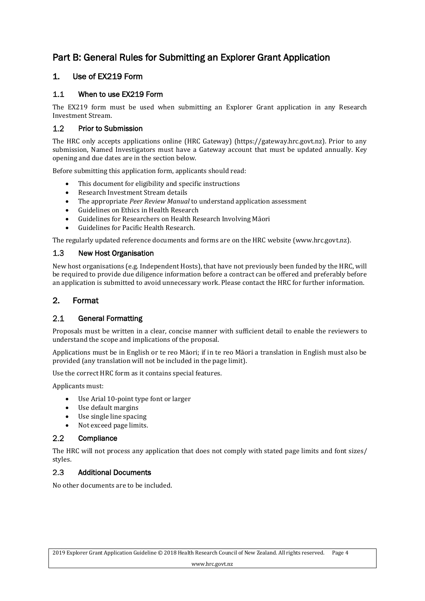# <span id="page-3-0"></span>Part B: General Rules for Submitting an Explorer Grant Application

# <span id="page-3-1"></span>1. Use of EX219 Form

#### $1.1$ When to use EX219 Form

The EX219 form must be used when submitting an Explorer Grant application in any Research Investment Stream.

#### $1.2$ Prior to Submission

The HRC only accepts applications online (HRC Gateway) (https://gateway.hrc.govt.nz). Prior to any submission, Named Investigators must have a Gateway account that must be updated annually. Key opening and due dates are in the section below.

Before submitting this application form, applicants should read:

- This document for eligibility and specific instructions
- Research Investment Stream details
- The appropriate *Peer Review Manual* to understand application assessment
- Guidelines on Ethics in Health Research
- Guidelines for Researchers on Health Research Involving Māori
- Guidelines for Pacific Health Research.

The regularly updated reference documents and forms are on the HRC website (www.hrc.govt.nz).

#### $1.3$ New Host Organisation

New host organisations (e.g. Independent Hosts), that have not previously been funded by the HRC, will be required to provide due diligence information before a contract can be offered and preferably before an application is submitted to avoid unnecessary work. Please contact the HRC for further information.

# <span id="page-3-2"></span>2. Format

#### $2.1$ General Formatting

Proposals must be written in a clear, concise manner with sufficient detail to enable the reviewers to understand the scope and implications of the proposal.

Applications must be in English or te reo Māori; if in te reo Māori a translation in English must also be provided (any translation will not be included in the page limit).

Use the correct HRC form as it contains special features.

Applicants must:

- Use Arial 10-point type font or larger
- Use default margins
- Use single line spacing
- Not exceed page limits.

#### $2.2^{\circ}$ **Compliance**

The HRC will not process any application that does not comply with stated page limits and font sizes/ styles.

#### $2.3$ Additional Documents

No other documents are to be included.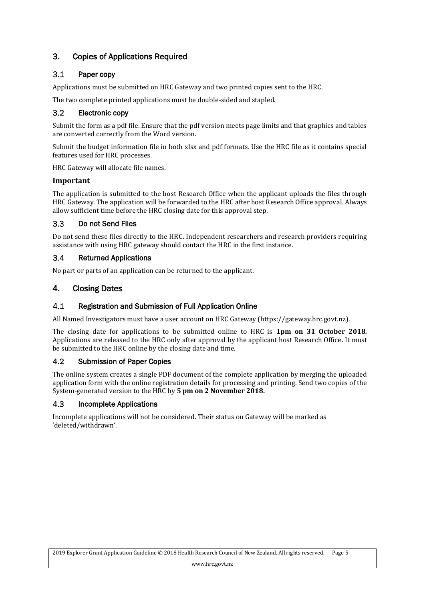# <span id="page-4-0"></span>3. Copies of Applications Required

#### $3.1$ Paper copy

Applications must be submitted on HRC Gateway and two printed copies sent to the HRC.

The two complete printed applications must be double-sided and stapled.

#### $3.2$ Electronic copy

Submit the form as a pdf file. Ensure that the pdf version meets page limits and that graphics and tables are converted correctly from the Word version.

Submit the budget information file in both xlsx and pdf formats. Use the HRC file as it contains special features used for HRC processes.

HRC Gateway will allocate file names.

### **Important**

The application is submitted to the host Research Office when the applicant uploads the files through HRC Gateway. The application will be forwarded to the HRC after host Research Office approval. Always allow sufficient time before the HRC closing date for this approval step.

#### $3.3$ Do not Send Files

Do not send these files directly to the HRC. Independent researchers and research providers requiring assistance with using HRC gateway should contact the HRC in the first instance.

#### $3.4$ Returned Applications

No part or parts of an application can be returned to the applicant.

# <span id="page-4-1"></span>4. Closing Dates

#### $4.1$ Registration and Submission of Full Application Online

All Named Investigators must have a user account on HRC Gateway (https://gateway.hrc.govt.nz).

The closing date for applications to be submitted online to HRC is **1pm on 31 October 2018***.* Applications are released to the HRC only after approval by the applicant host Research Office. It must be submitted to the HRC online by the closing date and time.

#### $4.2$ Submission of Paper Copies

The online system creates a single PDF document of the complete application by merging the uploaded application form with the online registration details for processing and printing. Send two copies of the System-generated version to the HRC by **5 pm on 2 November 2018.**

#### $4.3$ Incomplete Applications

Incomplete applications will not be considered. Their status on Gateway will be marked as 'deleted/withdrawn'.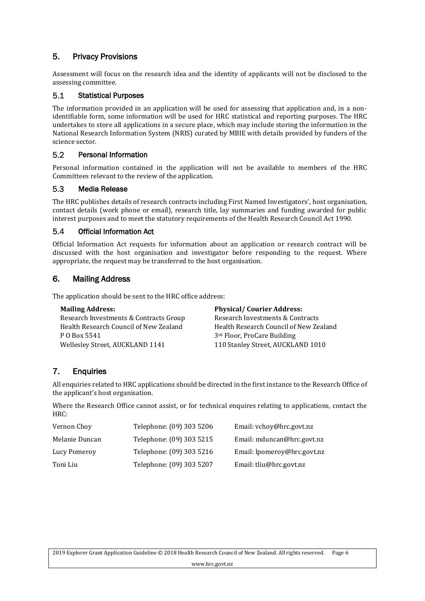# <span id="page-5-0"></span>5. Privacy Provisions

Assessment will focus on the research idea and the identity of applicants will not be disclosed to the assessing committee.

#### $5.1$ Statistical Purposes

The information provided in an application will be used for assessing that application and, in a nonidentifiable form, some information will be used for HRC statistical and reporting purposes. The HRC undertakes to store all applications in a secure place, which may include storing the information in the National Research Information System (NRIS) curated by MBIE with details provided by funders of the science sector.

#### $5.2$ Personal Information

Personal information contained in the application will not be available to members of the HRC Committees relevant to the review of the application.

#### 5.3 Media Release

The HRC publishes details of research contracts including First Named Investigators', host organisation, contact details (work phone or email), research title, lay summaries and funding awarded for public interest purposes and to meet the statutory requirements of the Health Research Council Act 1990.

#### 5.4 Official Information Act

Official Information Act requests for information about an application or research contract will be discussed with the host organisation and investigator before responding to the request. Where appropriate, the request may be transferred to the host organisation.

# <span id="page-5-1"></span>6. Mailing Address

The application should be sent to the HRC office address:

Research Investments & Contracts Group Health Research Council of New Zealand P O Box 5541 Wellesley Street, AUCKLAND 1141

**Mailing Address: Physical/ Courier Address:** Research Investments & Contracts Health Research Council of New Zealand 3rd Floor, ProCare Building 110 Stanley Street, AUCKLAND 1010

# <span id="page-5-2"></span>7. Enquiries

All enquiries related to HRC applications should be directed in the first instance to the Research Office of the applicant's host organisation.

Where the Research Office cannot assist, or for technical enquires relating to applications, contact the HRC:

| Vernon Choy    | Telephone: (09) 303 5206 | Email: vchoy@hrc.govt.nz    |
|----------------|--------------------------|-----------------------------|
| Melanie Duncan | Telephone: (09) 303 5215 | Email: mduncan@hrc.govt.nz  |
| Lucy Pomeroy   | Telephone: (09) 303 5216 | Email: lpomeroy@hrc.govt.nz |
| Toni Liu       | Telephone: (09) 303 5207 | Email: tliu@hrc.govt.nz     |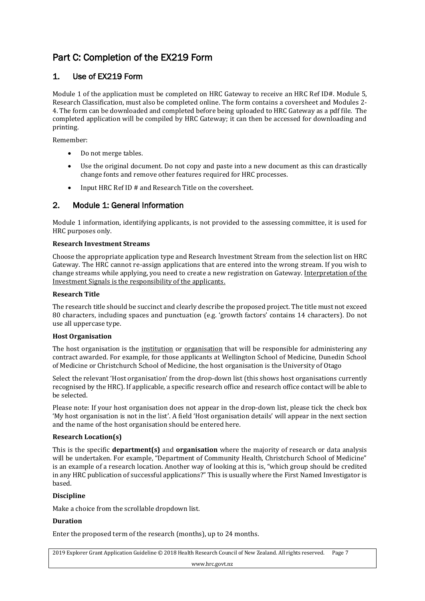# <span id="page-6-0"></span>Part C: Completion of the EX219 Form

# <span id="page-6-1"></span>1. Use of EX219 Form

Module 1 of the application must be completed on HRC Gateway to receive an HRC Ref ID#. Module 5, Research Classification, must also be completed online. The form contains a coversheet and Modules 2- 4. The form can be downloaded and completed before being uploaded to HRC Gateway as a pdf file. The completed application will be compiled by HRC Gateway; it can then be accessed for downloading and printing.

Remember:

- Do not merge tables.
- Use the original document. Do not copy and paste into a new document as this can drastically change fonts and remove other features required for HRC processes.
- Input HRC Ref ID # and Research Title on the coversheet.

### <span id="page-6-2"></span>2. Module 1: General Information

Module 1 information, identifying applicants, is not provided to the assessing committee, it is used for HRC purposes only.

### **Research Investment Streams**

Choose the appropriate application type and Research Investment Stream from the selection list on HRC Gateway. The HRC cannot re-assign applications that are entered into the wrong stream. If you wish to change streams while applying, you need to create a new registration on Gateway. Interpretation of the Investment Signals is the responsibility of the applicants.

### **Research Title**

The research title should be succinct and clearly describe the proposed project. The title must not exceed 80 characters, including spaces and punctuation (e.g. 'growth factors' contains 14 characters). Do not use all uppercase type.

### **Host Organisation**

The host organisation is the institution or organisation that will be responsible for administering any contract awarded. For example, for those applicants at Wellington School of Medicine, Dunedin School of Medicine or Christchurch School of Medicine, the host organisation is the University of Otago

Select the relevant 'Host organisation' from the drop-down list (this shows host organisations currently recognised by the HRC). If applicable, a specific research office and research office contact will be able to be selected.

Please note: If your host organisation does not appear in the drop-down list, please tick the check box 'My host organisation is not in the list'. A field 'Host organisation details' will appear in the next section and the name of the host organisation should be entered here.

### **Research Location(s)**

This is the specific **department(s)** and **organisation** where the majority of research or data analysis will be undertaken. For example, "Department of Community Health, Christchurch School of Medicine" is an example of a research location. Another way of looking at this is, "which group should be credited in any HRC publication of successful applications?" This is usually where the First Named Investigator is based.

### **Discipline**

Make a choice from the scrollable dropdown list.

### **Duration**

Enter the proposed term of the research (months), up to 24 months.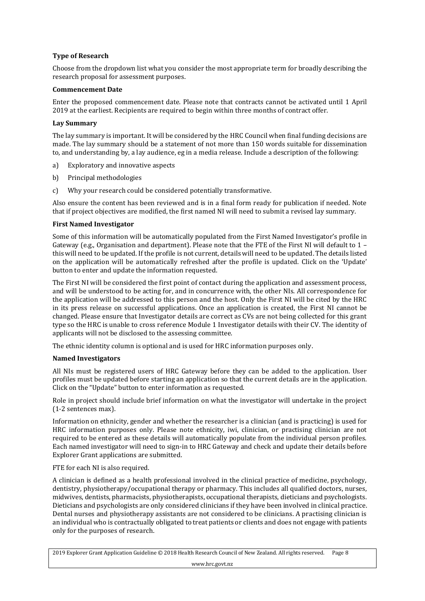### **Type of Research**

Choose from the dropdown list what you consider the most appropriate term for broadly describing the research proposal for assessment purposes.

### **Commencement Date**

Enter the proposed commencement date. Please note that contracts cannot be activated until 1 April 2019 at the earliest. Recipients are required to begin within three months of contract offer.

### **Lay Summary**

The lay summary is important. It will be considered by the HRC Council when final funding decisions are made. The lay summary should be a statement of not more than 150 words suitable for dissemination to, and understanding by, a lay audience, eg in a media release. Include a description of the following:

- a) Exploratory and innovative aspects
- b) Principal methodologies
- c) Why your research could be considered potentially transformative.

Also ensure the content has been reviewed and is in a final form ready for publication if needed. Note that if project objectives are modified, the first named NI will need to submit a revised lay summary.

### **First Named Investigator**

Some of this information will be automatically populated from the First Named Investigator's profile in Gateway (e.g., Organisation and department). Please note that the FTE of the First NI will default to 1 – this will need to be updated. If the profile is not current, details will need to be updated. The details listed on the application will be automatically refreshed after the profile is updated. Click on the 'Update' button to enter and update the information requested.

The First NI will be considered the first point of contact during the application and assessment process, and will be understood to be acting for, and in concurrence with, the other NIs. All correspondence for the application will be addressed to this person and the host. Only the First NI will be cited by the HRC in its press release on successful applications. Once an application is created, the First NI cannot be changed. Please ensure that Investigator details are correct as CVs are not being collected for this grant type so the HRC is unable to cross reference Module 1 Investigator details with their CV. The identity of applicants will not be disclosed to the assessing committee.

The ethnic identity column is optional and is used for HRC information purposes only.

### **Named Investigators**

All NIs must be registered users of HRC Gateway before they can be added to the application. User profiles must be updated before starting an application so that the current details are in the application. Click on the "Update" button to enter information as requested.

Role in project should include brief information on what the investigator will undertake in the project (1-2 sentences max).

Information on ethnicity, gender and whether the researcher is a clinician (and is practicing) is used for HRC information purposes only. Please note ethnicity, iwi, clinician, or practising clinician are not required to be entered as these details will automatically populate from the individual person profiles. Each named investigator will need to sign-in to HRC Gateway and check and update their details before Explorer Grant applications are submitted.

### FTE for each NI is also required.

A clinician is defined as a health professional involved in the clinical practice of medicine, psychology, dentistry, physiotherapy/occupational therapy or pharmacy. This includes all qualified doctors, nurses, midwives, dentists, pharmacists, physiotherapists, occupational therapists, dieticians and psychologists. Dieticians and psychologists are only considered clinicians if they have been involved in clinical practice. Dental nurses and physiotherapy assistants are not considered to be clinicians. A practising clinician is an individual who is contractually obligated to treat patients or clients and does not engage with patients only for the purposes of research.

2019 Explorer Grant Application Guideline © 2018 Health Research Council of New Zealand. All rights reserved. Page 8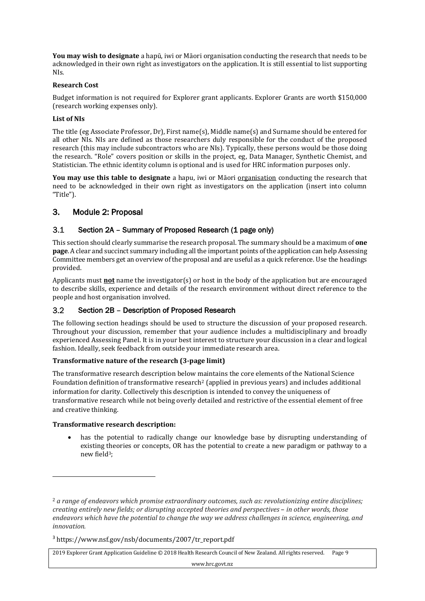**You may wish to designate** a hapū, iwi or Māori organisation conducting the research that needs to be acknowledged in their own right as investigators on the application. It is still essential to list supporting NIs.

### **Research Cost**

Budget information is not required for Explorer grant applicants. Explorer Grants are worth \$150,000 (research working expenses only).

### **List of NIs**

The title (eg Associate Professor, Dr), First name(s), Middle name(s) and Surname should be entered for all other NIs. NIs are defined as those researchers duly responsible for the conduct of the proposed research (this may include subcontractors who are NIs). Typically, these persons would be those doing the research. "Role" covers position or skills in the project, eg, Data Manager, Synthetic Chemist, and Statistician. The ethnic identity column is optional and is used for HRC information purposes only.

You may use this table to designate a hapu, iwi or Māori <u>organisation</u> conducting the research that need to be acknowledged in their own right as investigators on the application (insert into column "Title").

### <span id="page-8-0"></span>3. Module 2: Proposal

#### $3.1$ Section 2A - Summary of Proposed Research (1 page only)

This section should clearly summarise the research proposal. The summary should be a maximum of **one page**. A clear and succinct summary including all the important points of the application can help Assessing Committee members get an overview of the proposal and are useful as a quick reference. Use the headings provided.

Applicants must **not** name the investigator(s) or host in the body of the application but are encouraged to describe skills, experience and details of the research environment without direct reference to the people and host organisation involved.

#### $3.2$ Section 2B – Description of Proposed Research

The following section headings should be used to structure the discussion of your proposed research. Throughout your discussion, remember that your audience includes a multidisciplinary and broadly experienced Assessing Panel. It is in your best interest to structure your discussion in a clear and logical fashion. Ideally, seek feedback from outside your immediate research area.

### **Transformative nature of the research (3-page limit)**

The transformative research description below maintains the core elements of the National Science Foundation definition of transformative research<sup>2</sup> (applied in previous years) and includes additional information for clarity. Collectively this description is intended to convey the uniqueness of transformative research while not being overly detailed and restrictive of the essential element of free and creative thinking.

### **Transformative research description:**

 $\overline{\phantom{a}}$ 

has the potential to radically change our knowledge base by disrupting understanding of existing theories or concepts, OR has the potential to create a new paradigm or pathway to a new field<sup>3</sup>;

2019 Explorer Grant Application Guideline © 2018 Health Research Council of New Zealand. All rights reserved. Page 9

<sup>2</sup> *a range of endeavors which promise extraordinary outcomes, such as: revolutionizing entire disciplines; creating entirely new fields; or disrupting accepted theories and perspectives* – *in other words, those endeavors which have the potential to change the way we address challenges in science, engineering, and innovation.*

<sup>3</sup> https://www.nsf.gov/nsb/documents/2007/tr\_report.pdf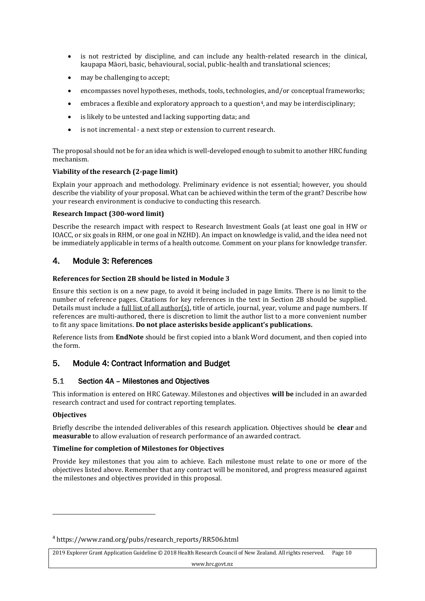- is not restricted by discipline, and can include any health-related research in the clinical, kaupapa Māori, basic, behavioural, social, public-health and translational sciences;
- may be challenging to accept;
- encompasses novel hypotheses, methods, tools, technologies, and/or conceptual frameworks;
- embraces a flexible and exploratory approach to a question<sup>4</sup>, and may be interdisciplinary;
- is likely to be untested and lacking supporting data; and
- is not incremental a next step or extension to current research.

The proposal should not be for an idea which is well-developed enough to submit to another HRC funding mechanism.

### **Viability of the research (2-page limit)**

Explain your approach and methodology. Preliminary evidence is not essential; however, you should describe the viability of your proposal. What can be achieved within the term of the grant? Describe how your research environment is conducive to conducting this research.

### **Research Impact (300-word limit)**

Describe the research impact with respect to Research Investment Goals (at least one goal in HW or IOACC, or six goals in RHM, or one goal in NZHD). An impact on knowledge is valid, and the idea need not be immediately applicable in terms of a health outcome. Comment on your plans for knowledge transfer.

# <span id="page-9-0"></span>4. Module 3: References

### **References for Section 2B should be listed in Module 3**

Ensure this section is on a new page, to avoid it being included in page limits. There is no limit to the number of reference pages. Citations for key references in the text in Section 2B should be supplied. Details must include a full list of all author(s), title of article, journal, year, volume and page numbers. If references are multi-authored, there is discretion to limit the author list to a more convenient number to fit any space limitations. **Do not place asterisks beside applicant's publications.**

Reference lists from **EndNote** should be first copied into a blank Word document, and then copied into the form.

# <span id="page-9-1"></span>5. Module 4: Contract Information and Budget

#### $5.1$ Section 4A – Milestones and Objectives

This information is entered on HRC Gateway. Milestones and objectives **will be** included in an awarded research contract and used for contract reporting templates.

### **Objectives**

 $\overline{\phantom{a}}$ 

Briefly describe the intended deliverables of this research application. Objectives should be **clear** and **measurable** to allow evaluation of research performance of an awarded contract.

### **Timeline for completion of Milestones for Objectives**

Provide key milestones that you aim to achieve. Each milestone must relate to one or more of the objectives listed above. Remember that any contract will be monitored, and progress measured against the milestones and objectives provided in this proposal.

2019 Explorer Grant Application Guideline © 2018 Health Research Council of New Zealand. All rights reserved. Page 10

<sup>4</sup> https://www.rand.org/pubs/research\_reports/RR506.html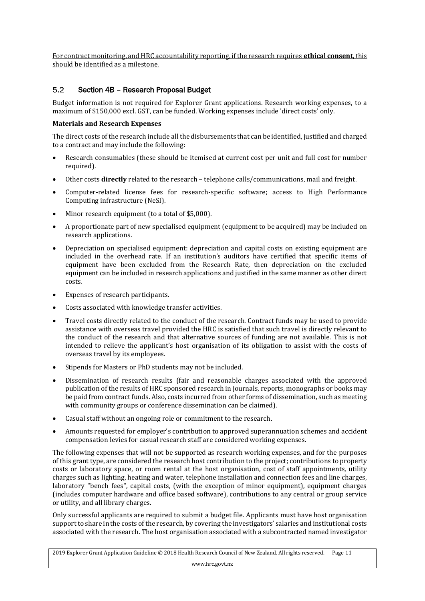For contract monitoring, and HRC accountability reporting, if the research requires **ethical consent**, this should be identified as a milestone.

#### $5.2$ Section 4B – Research Proposal Budget

Budget information is not required for Explorer Grant applications. Research working expenses, to a maximum of \$150,000 excl. GST, can be funded. Working expenses include 'direct costs' only.

### **Materials and Research Expenses**

The direct costs of the research include all the disbursements that can be identified, justified and charged to a contract and may include the following:

- Research consumables (these should be itemised at current cost per unit and full cost for number required).
- Other costs **directly** related to the research telephone calls/communications, mail and freight.
- Computer-related license fees for research-specific software; access to High Performance Computing infrastructure (NeSI).
- Minor research equipment (to a total of \$5,000).
- A proportionate part of new specialised equipment (equipment to be acquired) may be included on research applications.
- Depreciation on specialised equipment: depreciation and capital costs on existing equipment are included in the overhead rate. If an institution's auditors have certified that specific items of equipment have been excluded from the Research Rate, then depreciation on the excluded equipment can be included in research applications and justified in the same manner as other direct costs.
- Expenses of research participants.
- Costs associated with knowledge transfer activities.
- Travel costs directly related to the conduct of the research. Contract funds may be used to provide assistance with overseas travel provided the HRC is satisfied that such travel is directly relevant to the conduct of the research and that alternative sources of funding are not available. This is not intended to relieve the applicant's host organisation of its obligation to assist with the costs of overseas travel by its employees.
- Stipends for Masters or PhD students may not be included.
- Dissemination of research results (fair and reasonable charges associated with the approved publication of the results of HRC sponsored research in journals, reports, monographs or books may be paid from contract funds. Also, costs incurred from other forms of dissemination, such as meeting with community groups or conference dissemination can be claimed).
- Casual staff without an ongoing role or commitment to the research.
- Amounts requested for employer's contribution to approved superannuation schemes and accident compensation levies for casual research staff are considered working expenses.

The following expenses that will not be supported as research working expenses, and for the purposes of this grant type, are considered the research host contribution to the project; contributions to property costs or laboratory space, or room rental at the host organisation, cost of staff appointments, utility charges such as lighting, heating and water, telephone installation and connection fees and line charges, laboratory "bench fees", capital costs, (with the exception of minor equipment), equipment charges (includes computer hardware and office based software), contributions to any central or group service or utility, and all library charges.

Only successful applicants are required to submit a budget file. Applicants must have host organisation support to share in the costs of the research, by covering the investigators' salaries and institutional costs associated with the research. The host organisation associated with a subcontracted named investigator

2019 Explorer Grant Application Guideline © 2018 Health Research Council of New Zealand. All rights reserved. Page 11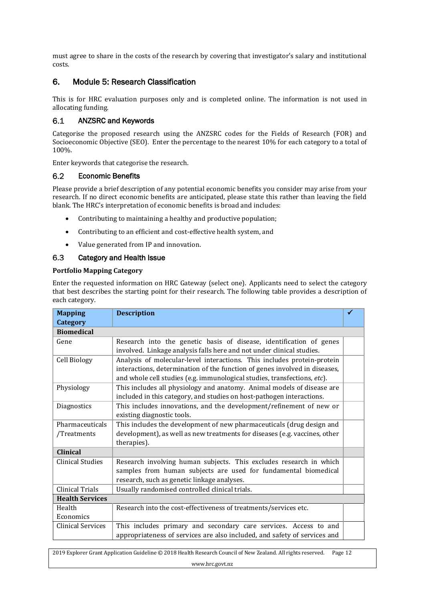must agree to share in the costs of the research by covering that investigator's salary and institutional costs.

# <span id="page-11-0"></span>6. Module 5: Research Classification

This is for HRC evaluation purposes only and is completed online. The information is not used in allocating funding.

#### $6.1$ ANZSRC and Keywords

Categorise the proposed research using the ANZSRC codes for the Fields of Research (FOR) and Socioeconomic Objective (SEO). Enter the percentage to the nearest 10% for each category to a total of 100%.

Enter keywords that categorise the research.

#### $6.2$ Economic Benefits

Please provide a brief description of any potential economic benefits you consider may arise from your research. If no direct economic benefits are anticipated, please state this rather than leaving the field blank. The HRC's interpretation of economic benefits is broad and includes:

- Contributing to maintaining a healthy and productive population;
- Contributing to an efficient and cost-effective health system, and
- Value generated from IP and innovation.

#### $6.3$ Category and Health Issue

### **Portfolio Mapping Category**

Enter the requested information on HRC Gateway (select one). Applicants need to select the category that best describes the starting point for their research. The following table provides a description of each category.

| <b>Mapping</b>                 | <b>Description</b>                                                                                                                                                                                                                | √ |
|--------------------------------|-----------------------------------------------------------------------------------------------------------------------------------------------------------------------------------------------------------------------------------|---|
| Category                       |                                                                                                                                                                                                                                   |   |
| <b>Biomedical</b>              |                                                                                                                                                                                                                                   |   |
| Gene                           | Research into the genetic basis of disease, identification of genes<br>involved. Linkage analysis falls here and not under clinical studies.                                                                                      |   |
| Cell Biology                   | Analysis of molecular-level interactions. This includes protein-protein<br>interactions, determination of the function of genes involved in diseases,<br>and whole cell studies (e.g. immunological studies, transfections, etc). |   |
| Physiology                     | This includes all physiology and anatomy. Animal models of disease are<br>included in this category, and studies on host-pathogen interactions.                                                                                   |   |
| Diagnostics                    | This includes innovations, and the development/refinement of new or<br>existing diagnostic tools.                                                                                                                                 |   |
| Pharmaceuticals<br>/Treatments | This includes the development of new pharmaceuticals (drug design and<br>development), as well as new treatments for diseases (e.g. vaccines, other<br>therapies).                                                                |   |
| <b>Clinical</b>                |                                                                                                                                                                                                                                   |   |
| Clinical Studies               | Research involving human subjects. This excludes research in which<br>samples from human subjects are used for fundamental biomedical<br>research, such as genetic linkage analyses.                                              |   |
| Clinical Trials                | Usually randomised controlled clinical trials.                                                                                                                                                                                    |   |
| <b>Health Services</b>         |                                                                                                                                                                                                                                   |   |
| Health<br>Economics            | Research into the cost-effectiveness of treatments/services etc.                                                                                                                                                                  |   |
| <b>Clinical Services</b>       | This includes primary and secondary care services. Access to and<br>appropriateness of services are also included, and safety of services and                                                                                     |   |

www.hrc.govt.nz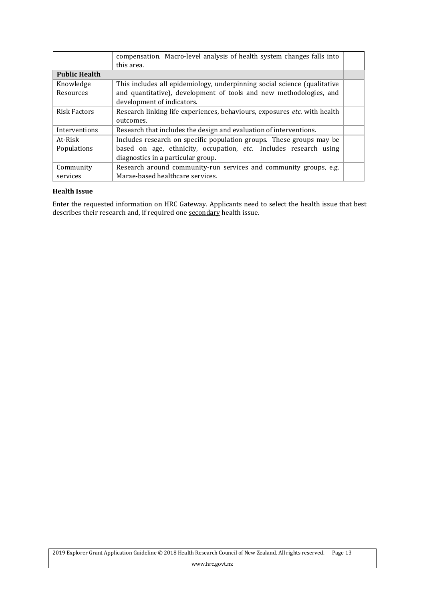|                      | compensation. Macro-level analysis of health system changes falls into<br>this area. |  |
|----------------------|--------------------------------------------------------------------------------------|--|
| <b>Public Health</b> |                                                                                      |  |
| Knowledge            | This includes all epidemiology, underpinning social science (qualitative             |  |
| Resources            | and quantitative), development of tools and new methodologies, and                   |  |
|                      | development of indicators.                                                           |  |
| <b>Risk Factors</b>  | Research linking life experiences, behaviours, exposures etc. with health            |  |
|                      | outcomes.                                                                            |  |
| Interventions        | Research that includes the design and evaluation of interventions.                   |  |
| At-Risk              | Includes research on specific population groups. These groups may be                 |  |
| Populations          | based on age, ethnicity, occupation, etc. Includes research using                    |  |
|                      | diagnostics in a particular group.                                                   |  |
| Community            | Research around community-run services and community groups, e.g.                    |  |
| services             | Marae-based healthcare services.                                                     |  |

### **Health Issue**

Enter the requested information on HRC Gateway. Applicants need to select the health issue that best describes their research and, if required one <u>secondary</u> health issue.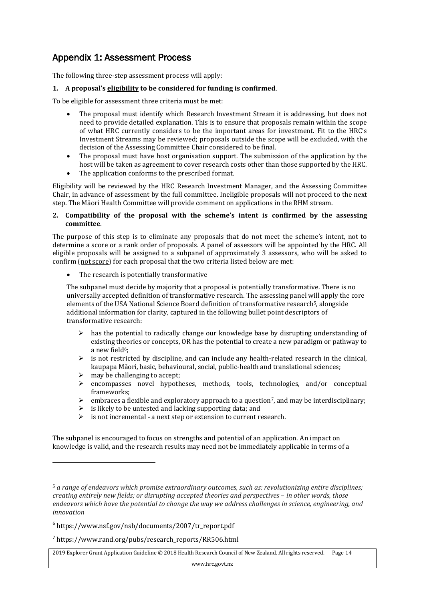# <span id="page-13-0"></span>Appendix 1: Assessment Process

The following three-step assessment process will apply:

### **1. A proposal's eligibility to be considered for funding is confirmed**.

To be eligible for assessment three criteria must be met:

- The proposal must identify which Research Investment Stream it is addressing, but does not need to provide detailed explanation. This is to ensure that proposals remain within the scope of what HRC currently considers to be the important areas for investment. Fit to the HRC's Investment Streams may be reviewed; proposals outside the scope will be excluded, with the decision of the Assessing Committee Chair considered to be final.
- The proposal must have host organisation support. The submission of the application by the host will be taken as agreement to cover research costs other than those supported by the HRC.
- The application conforms to the prescribed format.

Eligibility will be reviewed by the HRC Research Investment Manager, and the Assessing Committee Chair, in advance of assessment by the full committee. Ineligible proposals will not proceed to the next step. The Māori Health Committee will provide comment on applications in the RHM stream.

### **2. Compatibility of the proposal with the scheme's intent is confirmed by the assessing committee**.

The purpose of this step is to eliminate any proposals that do not meet the scheme's intent, not to determine a score or a rank order of proposals. A panel of assessors will be appointed by the HRC. All eligible proposals will be assigned to a subpanel of approximately 3 assessors, who will be asked to confirm (not score) for each proposal that the two criteria listed below are met:

The research is potentially transformative

The subpanel must decide by majority that a proposal is potentially transformative. There is no universally accepted definition of transformative research. The assessing panel will apply the core elements of the USA National Science Board definition of transformative research<sup>5</sup>, alongside additional information for clarity, captured in the following bullet point descriptors of transformative research:

- $\triangleright$  has the potential to radically change our knowledge base by disrupting understanding of existing theories or concepts, OR has the potential to create a new paradigm or pathway to a new field<sup>6</sup>;
- $\triangleright$  is not restricted by discipline, and can include any health-related research in the clinical, kaupapa Māori, basic, behavioural, social, public-health and translational sciences;
- $\triangleright$  may be challenging to accept;

 $\overline{a}$ 

- ➢ encompasses novel hypotheses, methods, tools, technologies, and/or conceptual frameworks;
- $\triangleright$  embraces a flexible and exploratory approach to a question<sup>7</sup>, and may be interdisciplinary;
- $\triangleright$  is likely to be untested and lacking supporting data; and
- ➢ is not incremental a next step or extension to current research.

The subpanel is encouraged to focus on strengths and potential of an application. An impact on knowledge is valid, and the research results may need not be immediately applicable in terms of a

<sup>5</sup> *a range of endeavors which promise extraordinary outcomes, such as: revolutionizing entire disciplines; creating entirely new fields; or disrupting accepted theories and perspectives - in other words, those endeavors which have the potential to change the way we address challenges in science, engineering, and innovation*

<sup>6</sup> https://www.nsf.gov/nsb/documents/2007/tr\_report.pdf

<sup>7</sup> https://www.rand.org/pubs/research\_reports/RR506.html